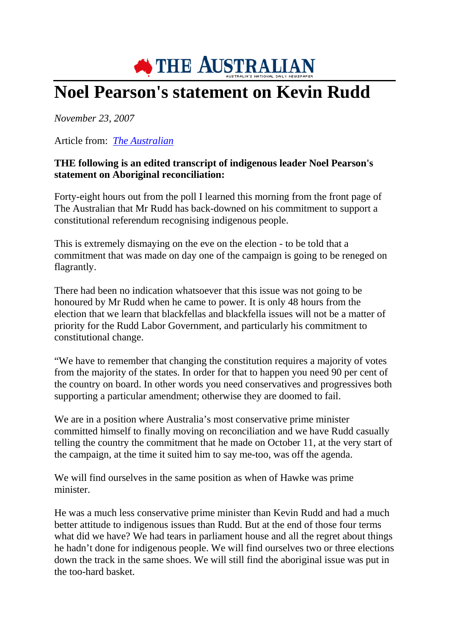

## **Noel Pearson's statement on Kevin Rudd**

*November 23, 2007*

Article from: *The Australian*

## **THE following is an edited transcript of indigenous leader Noel Pearson's statement on Aboriginal reconciliation:**

Forty-eight hours out from the poll I learned this morning from the front page of The Australian that Mr Rudd has back-downed on his commitment to support a constitutional referendum recognising indigenous people.

This is extremely dismaying on the eve on the election - to be told that a commitment that was made on day one of the campaign is going to be reneged on flagrantly.

There had been no indication whatsoever that this issue was not going to be honoured by Mr Rudd when he came to power. It is only 48 hours from the election that we learn that blackfellas and blackfella issues will not be a matter of priority for the Rudd Labor Government, and particularly his commitment to constitutional change.

"We have to remember that changing the constitution requires a majority of votes from the majority of the states. In order for that to happen you need 90 per cent of the country on board. In other words you need conservatives and progressives both supporting a particular amendment; otherwise they are doomed to fail.

We are in a position where Australia's most conservative prime minister committed himself to finally moving on reconciliation and we have Rudd casually telling the country the commitment that he made on October 11, at the very start of the campaign, at the time it suited him to say me-too, was off the agenda.

We will find ourselves in the same position as when of Hawke was prime minister.

He was a much less conservative prime minister than Kevin Rudd and had a much better attitude to indigenous issues than Rudd. But at the end of those four terms what did we have? We had tears in parliament house and all the regret about things he hadn't done for indigenous people. We will find ourselves two or three elections down the track in the same shoes. We will still find the aboriginal issue was put in the too-hard basket.